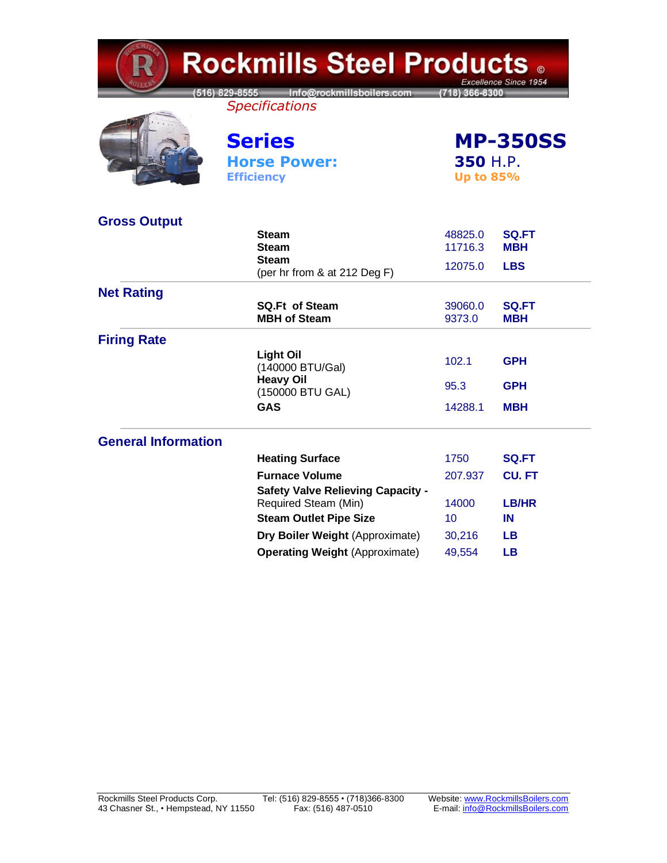| <b>Rockmills Steel Products</b><br>Excellence Since 1954 |                                                                  |                    |                                                 |  |  |
|----------------------------------------------------------|------------------------------------------------------------------|--------------------|-------------------------------------------------|--|--|
|                                                          | 516) 829-8555 Info@rockmillsboilers.com<br><b>Specifications</b> | (718) 366-8300     |                                                 |  |  |
|                                                          | <b>Series</b><br><b>Horse Power:</b><br><b>Efficiency</b>        |                    | <b>MP-350SS</b><br>350 H.P.<br><b>Up to 85%</b> |  |  |
| <b>Gross Output</b>                                      |                                                                  |                    |                                                 |  |  |
|                                                          | Steam<br>Steam                                                   | 48825.0<br>11716.3 | <b>SQ.FT</b><br><b>MBH</b>                      |  |  |
|                                                          | Steam<br>(per hr from & at 212 Deg F)                            | 12075.0            | <b>LBS</b>                                      |  |  |
| <b>Net Rating</b>                                        |                                                                  |                    |                                                 |  |  |
|                                                          | <b>SQ.Ft of Steam</b><br><b>MBH of Steam</b>                     | 39060.0<br>9373.0  | <b>SQ.FT</b><br><b>MBH</b>                      |  |  |
| <b>Firing Rate</b>                                       |                                                                  |                    |                                                 |  |  |
|                                                          | <b>Light Oil</b><br>(140000 BTU/Gal)                             | 102.1              | <b>GPH</b>                                      |  |  |
|                                                          | <b>Heavy Oil</b><br>(150000 BTU GAL)                             | 95.3               | <b>GPH</b>                                      |  |  |
|                                                          | <b>GAS</b>                                                       | 14288.1            | <b>MBH</b>                                      |  |  |
| <b>General Information</b>                               |                                                                  |                    |                                                 |  |  |
|                                                          | <b>Heating Surface</b>                                           | 1750               | <b>SQ.FT</b>                                    |  |  |
|                                                          | <b>Furnace Volume</b>                                            | 207.937            | <b>CU.FT</b>                                    |  |  |
|                                                          | <b>Safety Valve Relieving Capacity -</b><br>Required Steam (Min) | 14000              | <b>LB/HR</b>                                    |  |  |
|                                                          | <b>Steam Outlet Pipe Size</b>                                    | 10                 | IN                                              |  |  |
|                                                          | Dry Boiler Weight (Approximate)                                  | 30,216             | LВ                                              |  |  |
|                                                          | <b>Operating Weight (Approximate)</b>                            | 49,554             | <b>LB</b>                                       |  |  |